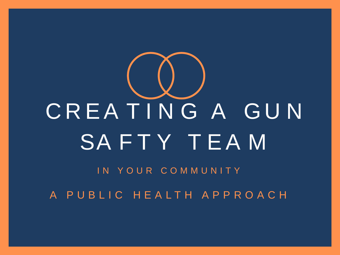# IN YOUR COMMUNITY CREATING A GUN SA FT Y T EA M

A PUBLIC HEALTH APPROACH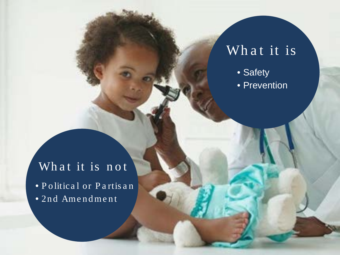### What it is not

· Political or Partisan 2nd Amendment

### What it is

- · Safety
- Prevention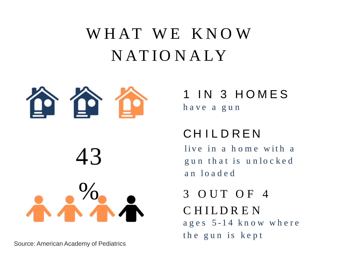### WHAT WE KNO W NATIO NALY





Source: American Academy of Pediatrics

1 IN 3 HOMES have a gun

### **CHILDREN**

live in a home with a gun that is unlocked an loaded

3 OUT OF 4 CHILDREN ages 5 - 14 know where the gun is kept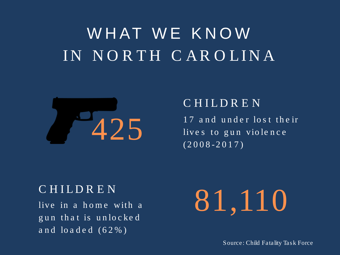### WHAT WE KNOW IN NORTH CAROLINA



#### CHILDREN

17 and under lost their lives to gun violence  $(2008 - 2017)$ 

#### CHILDREN

live in a home with a gun that is unlocked and loaded (62%)

81,110

Source: Child Fatality Task Force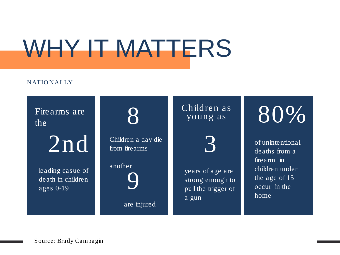## WHY IT MATTERS

#### NATIO NALLY

Firearms are Firearms are  $\begin{array}{|c|c|c|c|c|}\n\hline\n\text{the} & \text{S} & \text{S} & \text{S} & \text{S} & \text{S} \\
\hline\n\text{the} & \text{S} & \text{S} & \text{S} & \text{S} \\
\hline\n\end{array}$ 

2nd

leading casue of death in children ages 0-19

8

Children a day die from firearms

another 9 are injured

#### Children as young as

years of age are strong enough to pull the trigger of a gun

3

of unintentional deaths from a firearm in children under the age of 15  $\overline{occur}$  in the home

Source: Brady Campagin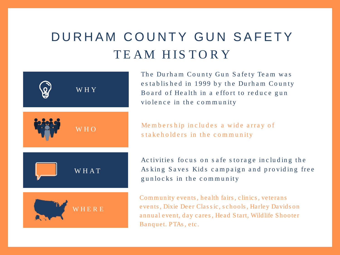### DURHAM COUNTY GUN SAFETY TEAM HIS TORY



The Durham County Gun Safety Team was es tablis hed in 1999 by the Durham County Board of Health in a effort to reduce gun violence in the community

Membership includes a wide array of s takeholders in the community

Ac tivitie s focus on s afe s torage including the As king Saves Kids campaign and providing free gunlocks in the community

Community events , health fairs , clinics , veterans events , Dixie Deer Clas s ic, s chools , Harley Davids on annual event, day cares , Head Start, Wildlife Shooter Banquet. PTAs , etc.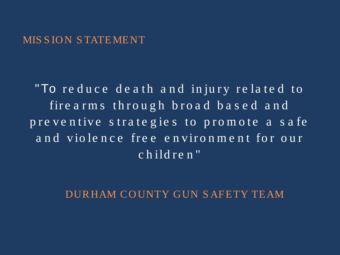#### **MISSION STATEMENT**

"To reduce death and injury related to fire arms through broad based and preventive strategies to promote a safe and violence free environment for our children"

DURHAM COUNTY GUN SAFETY TEAM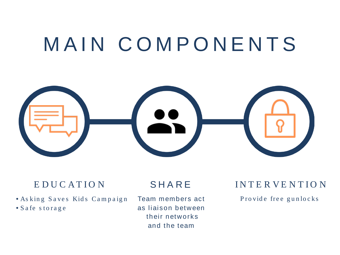### MAIN COMPONENTS



#### E DUC ATIO N

• As kin g S a ve s Kid s Ca m p a ig n • Safe s torage

#### SHARE

Team members act as liaison between their networks and the team

#### INTERVENTION

Provide free gunlocks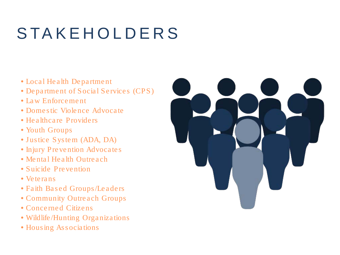### STAKEHOLDERS

- Local Health Department
- Department of Social Services (CPS)
- Law Enforceme nt
- Domestic Violence Advocate
- Healthcare Providers
- Youth Groups
- Justice System (ADA, DA)
- Injury Prevention Advocates
- Mental Health Outreach
- Suicide Prevention
- Veterans
- Faith Based Groups/Le aders
- Community Outreach Groups
- Concerned Citizens
- Wildlife/Hunting Organizations
- Housing Associations

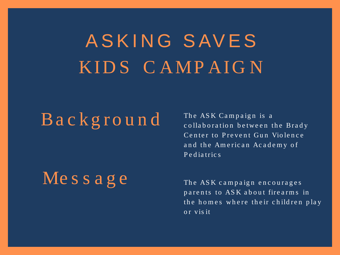### ASKING SAVES KIDS CAMPAIGN

### Background

### Me s s a g e

The ASK Campaign is a collaboration between the Brady Center to Prevent Gun Violence and the American Academy of Pediatrics

The ASK campaign encourages parents to ASK about firearms in the homes where their children play or vis it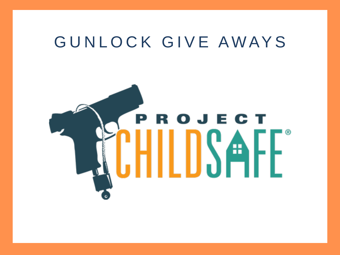### GUNLOCK GIVE AWAYS

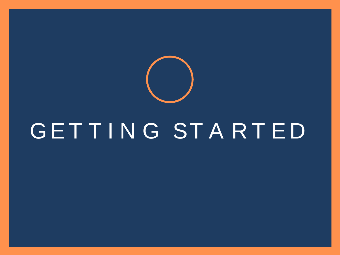

## GETTING STARTED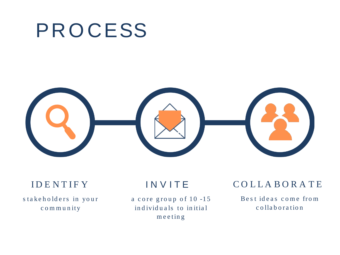### PROCESS

#### IDENTIFY

#### s takeholders in your community

### a core group of 10 -15 individuals to initial

INVITE

meeting

#### COLLABORATE

Best ideas come from collaboration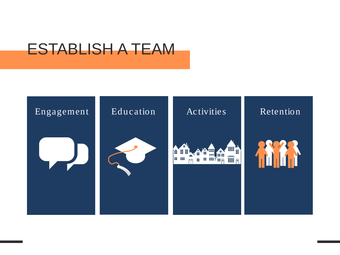### ESTABLISH A TEAM

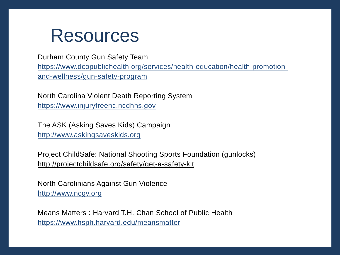

Durham County Gun Safety Team

[https://www.dcopublichealth.org/services/health-education/health-promotion](https://www.dcopublichealth.org/services/health-education/health-promotion-and-wellness/gun-safety-program)and-wellness/gun-safety-program

North Carolina Violent Death Reporting System [https://www.injuryfreenc.ncdhhs.gov](https://www.injuryfreenc.ncdhhs.gov/)

The ASK (Asking Saves Kids) Campaign [http://www.askingsaveskids.org](http://www.askingsaveskids.org/)

Project ChildSafe: National Shooting Sports Foundation (gunlocks) <http://projectchildsafe.org/safety/get-a-safety-kit>

North Carolinians Against Gun Violence [http://www.ncgv.org](http://www.ncgv.org/)

Means Matters : Harvard T.H. Chan School of Public Health <https://www.hsph.harvard.edu/meansmatter>